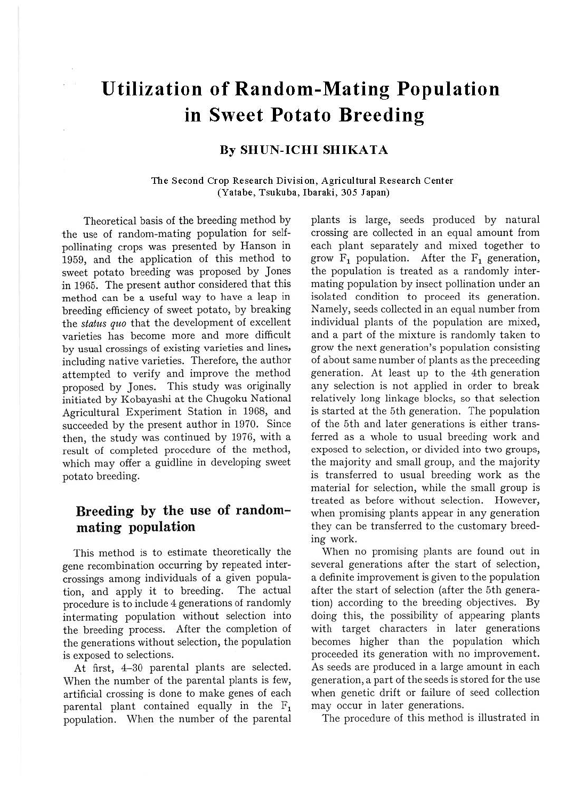# **Utilization of Random-Mating Population in Sweet Potato Breeding**

#### **By SHUN-ICHI SHIKATA**

#### **The Second Crop Research Division, Agricultural Research Center (Yatabe, Tsukuba, Ibaraki, 305 Japan)**

Theoretical basis of the breeding method by the use of random-mating population for selfpollinating crops was presented by Hanson in 1959, and the application of this method to sweet potato breeding was proposed by Jones in 1965. The present author considered that this method can be a useful way to have a leap in breeding efficiency of sweet potato, by breaking the *status quo* that the development of excellent varieties has become more and more difficult by usual crossings of existing varieties and lines, including native varieties. Therefore, the author attempted to verify and improve the method proposed by Jones. This study was originally initiated by Kobayashi at the Chugoku National Agricultural Experiment Station in 1968, and succeeded by the present author in 1970. Since then, the study was continued by 1976, with a result of completed procedure of the method, which may offer a guidline in developing sweet potato breeding.

### **Breeding by the use of randommating population**

This method is to estimate theoretically the gene recombination occurring by repeated intercrossings among individuals of a given population, and apply it to breeding. The actual procedure is to include 4 generations of randomly intermating population without selection into the breeding process. After the completion of the generations without selection, the population is exposed to selections.

At first, 4-30 parental plants are selected. When the number of the parental plants is few, artificial crossing is done to make genes of each parental plant contained equally in the F1 population. When the number of the parental

plants is large, seeds produced by natural crossing are collected in an equal amount from each plant separately and mixed together to grow  $F_1$  population. After the  $F_1$  generation, the population is treated as a randomly intermating population by insect pollination under an isolated condition to proceed its generation. Namely, seeds collected in an equal number from individual plants of the population are mixed, and a part of the mixture is randomly taken to grow the next generation's population consisting of about same number of plants as the preceeding generation. At least up to the 4th generation any selection is not applied in order to break relatively long linkage blocks, so that selection is started at the 5th generation. The population of the 5th and later generations is either transferred as a whole to usual breeding work and exposed to selection, or divided into two groups, the majority and small group, and the majority is transferred to usual breeding work as the material for selection, while the small group is treated as before without selection. However, when promising plants appear in any generation they can be transferred to the customary breeding work.

When no promising plants are found out in several generations after the start of selection, a definite improvement is given to the population after the start of selection (after the 5th generation) according to the breeding objectives. By doing this, the possibility of appearing plants with target characters in later generations becomes higher than the population which proceeded its generation with no improvement. As seeds are produced in a large amount in each generation, a part of the seeds is stored for the use when genetic drift or failure of seed collection may occur in later generations.

The procedure of this method is illustrated in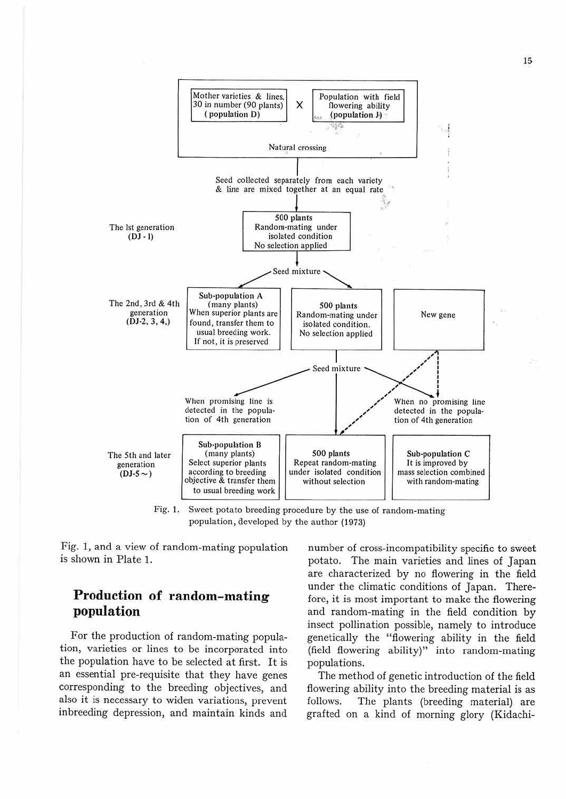

Fig. 1. Sweet potato breeding procedure by the use of random-mating population, acveloped by the author (1973)

*Fig.* 1, and a view of random-mating population is shown in Plate 1.

# **Production of random-mating population**

For the production of random-mating population, varieties or lines to be incorporated into the population have to be selected at first. It is an essential pre-requisite that they have genes corresponding to the breeding objectives, and also it is necessary to widen variations, prevent inbreeding depression, and maintain kinds and

number of cross-incompatibility specific to sweet potato. The main varieties and lines of Japan are characterized by no flowering in the field under the climatic conditions of Japan. Therefore, *it* is most important to make the flowering and random-mating in the field condition by insect pollination possible, namely to introduce genetically the "flowering ability in the field (field flowering ability)" into random-mating populations.

The method of genetic introduction of the field flowering ability into the breeding material is as follows. The plants (breeding material) are grafted on a kind of morning glory (Kidachi-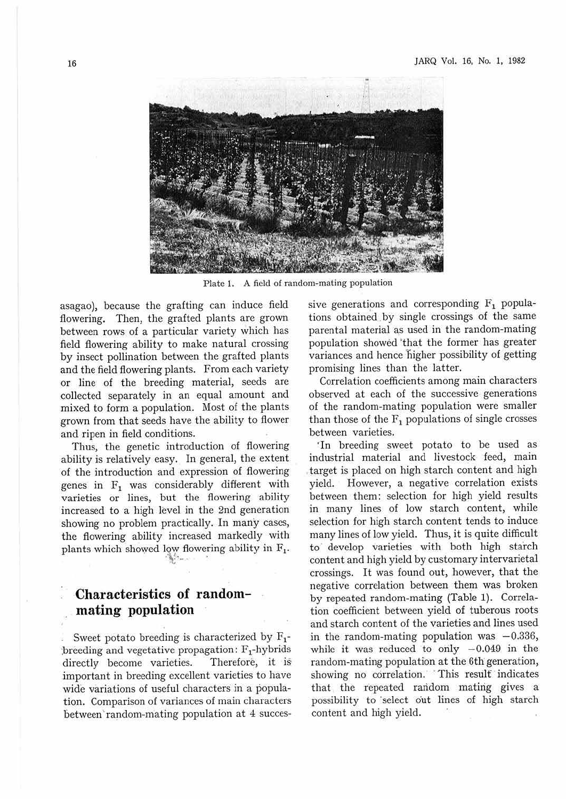

Plate 1. A field of random-mating population

asagao), because the grafting can induce field flowering. Then, the grafted plants are grown between rows of a particular variety which has field flowering ability to make natural crossing by insect pollination between the grafted plants and the field flowering plants. From each variety or line of the breeding material, seeds are collected separately in an equal amount and mixed to form a population. Most of the plants grown from that seeds have the ability to flower and ripen in field conditions.

Thus, the genetic introduction of flowering ability is relatively easy. In general, the extent of the introduction and expression of flowering genes in  $F_1$  was considerably different with varieties or lines, but the flowering ability increased to a high level in the 2nd generation showing no problem practically. In many cases, the flowering ability increased markedly with plants which showed low flowering ability in  $F_1$ .

# **Characteristics of randommating population**

Sweet potato breeding is characterized by  $F_1$ breeding and vegetative propagation:  $F_1$ -hybrids<br>directly become varieties. Therefore, it is directly become varieties. important in breeding excellent varieties to have wide variations of useful characters in a population. Comparison of variances of main characters between' random-mating population at 4 successive generations and corresponding  $F_1$  populations obtained by single crossings of the same parental material as used in the random-mating population showed 'that the former has greater variances and hence higher possibility of getting promising lines than the latter.

Correlation coefficients among main characters observed at each of the successive generations of the random-mating population were smaller than those of the  $F_1$  populations of single crosses between varieties.

·In breeding sweet potato to be used as industrial material and livestock feed, main target is placed on high starch content and high yield. However, a negative correlation exists between them: selection for high yield results in many lines of low starch content, while selection for high starch content tends to induce many lines of low yield. Thus, it is quite difficult to· develop varieties with both high starch content and high yield by customary intervarietal crossings. It was found out, however, that the negative correlation between them was broken by repeated random-mating (Table 1). Correlation coefficient between yield of tuberous roots and starch content of the varieties and lines used in the random-mating population was  $-0.336$ , while it was reduced to only  $-0.049$  in the random-mating population at the 6th generation, showing no correlation. This result indicates that the repeated random mating gives a possibility to select out lines of high starch content and high yield.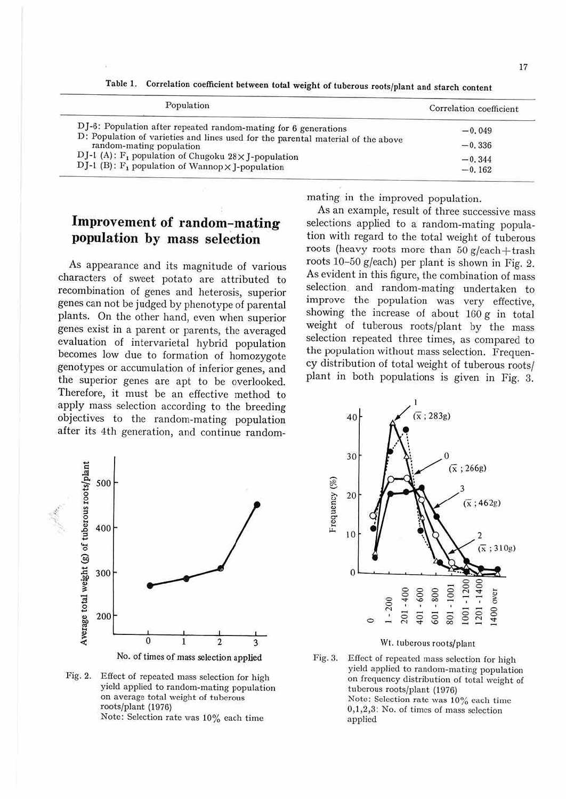| Population                                                                                                          | Correlation coefficient |
|---------------------------------------------------------------------------------------------------------------------|-------------------------|
| DJ-6: Population after repeated random-mating for 6 generations                                                     | $-0.049$                |
| D: Population of varieties and lines used for the parental material of the above<br>random-mating population        | $-0.336$                |
| DJ-1 (A): $F_1$ population of Chugoku 28×J-population<br>DJ-1 (B): $F_1$ population of Wannop $\times$ J-population | $-0.344$<br>$-0.162$    |

Table l. Correlation coefficient between total weight of tuberous roots/plant and starch content

# **Improvement of random-mating population by mass selection**

As appearance and its magnitude of various characters of sweet potato are attributed to recombination of genes and heterosis, superior genes can not be judged by phenotype of parental plants. On the other hand, even when superior genes exist in a parent or parents, the averaged evaluation of intervarietal hybrid population becomes low due to formation of homozygote genotypes or accumulation of inferior genes, and the superior genes are apt to be overlooked. Therefore, it must be an effective method to apply mass selection according to the breeding objectives to the random-mating population after its 4th generation, and continue randommating in the improved population.

As an example, result of three successive mass selections applied to a random-mating population with regard to the total weight of tuberous roots (heavy roots more than  $50$  g/each+trash roots 10-50 g/each) per plant is shown in Fig. 2. As evident in this figure, the combination of mass selection. and random-mating undertaken to improve the population was very effective, showing the increase of about  $160 \, \text{g}$  in total weight of tuberous roots/plant by the mass selection repeated three times, as compared to the population without mass selection. Frequency distribution of total weight of tuberous roots/ plant in both populations is given in Fig. 3.





No. of times of mass selection applied

Fig. 2. Effect of repeated mass selection for high yield applied to random-mating population on average total weight of tuberous roots/plant (1976) Note: Selection rate was 10% each time

Wt. tuberous roots/plant

Fig. 3. Effect of repeated mass selection for high yield applied to random-mating population on frequency distribution of total weight of tuberous roots/plant (1976) Note: Selection rate was 10% each time 0,1,2,3: No. of times of mass selection applied